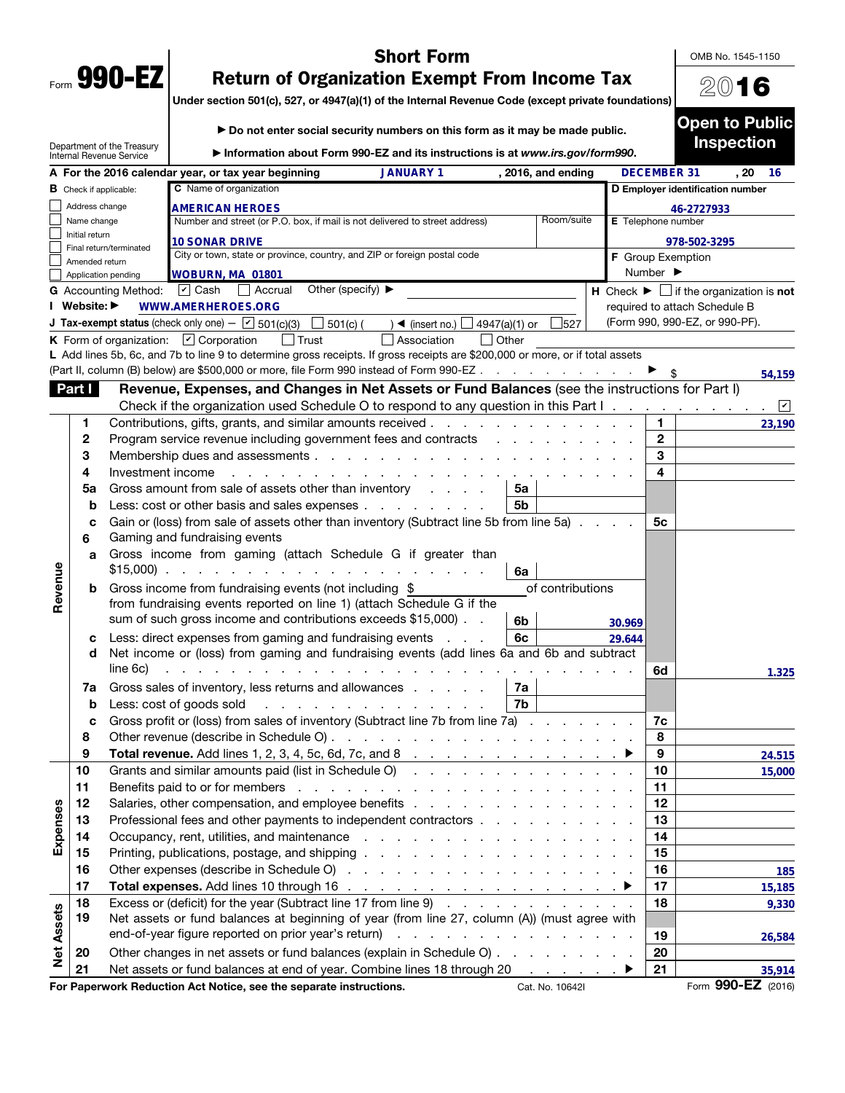|      | 990- |  |
|------|------|--|
| Form | v    |  |

## Short Form

OMB No. 1545-1150

2016

## Return of Organization Exempt From Income Tax

Under section 501(c), 527, or 4947(a)(1) of the Internal Revenue Code (except private foundations)

|                   |                               |                                                               | Do not enter social security numbers on this form as it may be made public.                                                                                                                                                    |                                                     |                      |                                 |                          |                              | <b>Open to Public</b>                                                         |                |
|-------------------|-------------------------------|---------------------------------------------------------------|--------------------------------------------------------------------------------------------------------------------------------------------------------------------------------------------------------------------------------|-----------------------------------------------------|----------------------|---------------------------------|--------------------------|------------------------------|-------------------------------------------------------------------------------|----------------|
|                   |                               | Department of the Treasury<br><b>Internal Revenue Service</b> | Information about Form 990-EZ and its instructions is at www.irs.gov/form990.                                                                                                                                                  |                                                     |                      |                                 |                          |                              | <b>Inspection</b>                                                             |                |
|                   |                               |                                                               | A For the 2016 calendar year, or tax year beginning                                                                                                                                                                            | <b>JANUARY 1</b>                                    |                      | , 2016, and ending              |                          | <b>DECEMBER 31</b>           | , 20                                                                          | 16             |
|                   | <b>B</b> Check if applicable: |                                                               | C Name of organization                                                                                                                                                                                                         |                                                     |                      |                                 |                          |                              | D Employer identification number                                              |                |
|                   | Address change                |                                                               | <b>AMERICAN HEROES</b>                                                                                                                                                                                                         |                                                     |                      |                                 |                          |                              | 46-2727933                                                                    |                |
|                   | Name change                   |                                                               | Number and street (or P.O. box, if mail is not delivered to street address)                                                                                                                                                    |                                                     |                      | Room/suite                      | E Telephone number       |                              |                                                                               |                |
|                   | Initial return                | Final return/terminated                                       | <b>10 SONAR DRIVE</b>                                                                                                                                                                                                          |                                                     |                      |                                 |                          |                              | 978-502-3295                                                                  |                |
|                   | Amended return                |                                                               | City or town, state or province, country, and ZIP or foreign postal code                                                                                                                                                       |                                                     |                      |                                 | <b>F</b> Group Exemption |                              |                                                                               |                |
|                   |                               | Application pending                                           | <b>WOBURN, MA 01801</b>                                                                                                                                                                                                        |                                                     |                      |                                 |                          | Number $\blacktriangleright$ |                                                                               |                |
|                   |                               | <b>G</b> Accounting Method:                                   | Other (specify) $\blacktriangleright$<br>$ v $ Cash<br>  Accrual                                                                                                                                                               |                                                     |                      |                                 |                          |                              | <b>H</b> Check $\blacktriangleright$ $\Box$ if the organization is <b>not</b> |                |
|                   | I Website: ▶                  |                                                               | <b>WWW.AMERHEROES.ORG</b>                                                                                                                                                                                                      |                                                     |                      |                                 |                          |                              | required to attach Schedule B                                                 |                |
|                   |                               |                                                               | J Tax-exempt status (check only one) - $\boxed{\checkmark}$ 501(c)(3)<br>$\Box$ 501(c) (                                                                                                                                       | $\triangleleft$ (insert no.)                        | $\Box$ 4947(a)(1) or | 527                             |                          |                              | (Form 990, 990-EZ, or 990-PF).                                                |                |
|                   |                               |                                                               | <b>K</b> Form of organization: $\boxed{\mathbf{v}}$ Corporation                                                                                                                                                                | Association                                         | $\vert$ Other        |                                 |                          |                              |                                                                               |                |
|                   |                               |                                                               | L Add lines 5b, 6c, and 7b to line 9 to determine gross receipts. If gross receipts are \$200,000 or more, or if total assets                                                                                                  |                                                     |                      |                                 |                          |                              |                                                                               |                |
|                   |                               |                                                               | (Part II, column (B) below) are \$500,000 or more, file Form 990 instead of Form 990-EZ                                                                                                                                        |                                                     |                      |                                 |                          |                              |                                                                               | 54,159         |
|                   | Part I                        |                                                               | Revenue, Expenses, and Changes in Net Assets or Fund Balances (see the instructions for Part I)                                                                                                                                |                                                     |                      |                                 |                          |                              |                                                                               |                |
|                   |                               |                                                               | Check if the organization used Schedule O to respond to any question in this Part I.                                                                                                                                           |                                                     |                      |                                 |                          |                              |                                                                               | ⊻<br>$\bullet$ |
|                   | 1                             |                                                               | Contributions, gifts, grants, and similar amounts received                                                                                                                                                                     |                                                     |                      |                                 |                          | 1.                           |                                                                               | 23,190         |
|                   | 2                             |                                                               | Program service revenue including government fees and contracts                                                                                                                                                                |                                                     |                      |                                 |                          | $\mathbf{2}$                 |                                                                               |                |
|                   | 3                             |                                                               | Membership dues and assessments                                                                                                                                                                                                |                                                     |                      |                                 |                          | 3                            |                                                                               |                |
|                   | 4                             | Investment income                                             |                                                                                                                                                                                                                                |                                                     |                      |                                 |                          | 4                            |                                                                               |                |
|                   | 5a                            |                                                               | Gross amount from sale of assets other than inventory                                                                                                                                                                          |                                                     | 5a                   |                                 |                          |                              |                                                                               |                |
|                   | b                             |                                                               | Less: cost or other basis and sales expenses                                                                                                                                                                                   |                                                     | 5b                   |                                 |                          |                              |                                                                               |                |
|                   | C<br>6                        |                                                               | Gain or (loss) from sale of assets other than inventory (Subtract line 5b from line 5a).<br>Gaming and fundraising events                                                                                                      |                                                     |                      |                                 |                          | 5с                           |                                                                               |                |
|                   | a                             |                                                               | Gross income from gaming (attach Schedule G if greater than<br>$$15,000$                                                                                                                                                       |                                                     | 6a                   |                                 |                          |                              |                                                                               |                |
| Revenue           | b                             |                                                               | Gross income from fundraising events (not including \$                                                                                                                                                                         |                                                     |                      | of contributions                |                          |                              |                                                                               |                |
|                   |                               |                                                               | from fundraising events reported on line 1) (attach Schedule G if the                                                                                                                                                          |                                                     |                      |                                 |                          |                              |                                                                               |                |
|                   |                               |                                                               | sum of such gross income and contributions exceeds \$15,000)                                                                                                                                                                   |                                                     | 6 <sub>b</sub>       |                                 | 30.969                   |                              |                                                                               |                |
|                   | c                             |                                                               | Less: direct expenses from gaming and fundraising events                                                                                                                                                                       | <b>Service</b>                                      | 6c                   |                                 | 29.644                   |                              |                                                                               |                |
|                   | d                             |                                                               | Net income or (loss) from gaming and fundraising events (add lines 6a and 6b and subtract                                                                                                                                      |                                                     |                      |                                 |                          |                              |                                                                               |                |
|                   |                               | line 6c)                                                      | the contract of the contract of the                                                                                                                                                                                            |                                                     |                      |                                 |                          | 6d                           |                                                                               | 1.325          |
|                   | 7a                            |                                                               | Gross sales of inventory, less returns and allowances                                                                                                                                                                          |                                                     | 7a                   |                                 |                          |                              |                                                                               |                |
|                   | b                             |                                                               | Less: cost of goods sold                                                                                                                                                                                                       |                                                     | 7b                   |                                 |                          |                              |                                                                               |                |
|                   | c                             |                                                               | Gross profit or (loss) from sales of inventory (Subtract line 7b from line 7a).                                                                                                                                                |                                                     |                      |                                 |                          | 7c                           |                                                                               |                |
|                   | 8                             |                                                               |                                                                                                                                                                                                                                |                                                     |                      |                                 |                          | 8                            |                                                                               |                |
|                   | 9                             |                                                               |                                                                                                                                                                                                                                |                                                     |                      |                                 |                          | 9                            |                                                                               | 24.515         |
|                   | 10                            |                                                               | Grants and similar amounts paid (list in Schedule O)                                                                                                                                                                           |                                                     |                      |                                 |                          | 10                           |                                                                               | 15,000         |
|                   | 11                            |                                                               | Benefits paid to or for members enters and the contract of the contract of the contract of the contract of the contract of the contract of the contract of the contract of the contract of the contract of the contract of the |                                                     |                      |                                 |                          | 11                           |                                                                               |                |
|                   | 12                            |                                                               |                                                                                                                                                                                                                                |                                                     |                      |                                 |                          | 12                           |                                                                               |                |
| Expenses          | 13                            |                                                               | Professional fees and other payments to independent contractors                                                                                                                                                                |                                                     |                      |                                 |                          | 13                           |                                                                               |                |
|                   | 14                            |                                                               |                                                                                                                                                                                                                                |                                                     |                      |                                 |                          | 14                           |                                                                               |                |
|                   | 15                            |                                                               |                                                                                                                                                                                                                                |                                                     |                      |                                 |                          | 15                           |                                                                               |                |
|                   | 16                            |                                                               |                                                                                                                                                                                                                                |                                                     |                      |                                 |                          | 16                           |                                                                               | 185            |
|                   | 17                            |                                                               |                                                                                                                                                                                                                                |                                                     |                      |                                 |                          | 17                           |                                                                               | 15,185         |
|                   | 18                            |                                                               | Excess or (deficit) for the year (Subtract line 17 from line 9)                                                                                                                                                                |                                                     |                      |                                 |                          | 18                           |                                                                               | 9,330          |
|                   | 19                            |                                                               | Net assets or fund balances at beginning of year (from line 27, column (A)) (must agree with                                                                                                                                   |                                                     |                      |                                 |                          |                              |                                                                               |                |
| <b>Net Assets</b> |                               |                                                               | end-of-year figure reported on prior year's return)                                                                                                                                                                            | the contract of the contract of the contract of the |                      |                                 |                          | 19                           |                                                                               | 26,584         |
|                   | 20                            |                                                               | Other changes in net assets or fund balances (explain in Schedule O)                                                                                                                                                           |                                                     |                      |                                 |                          | 20                           |                                                                               |                |
|                   | 21                            |                                                               | Net assets or fund balances at end of year. Combine lines 18 through 20                                                                                                                                                        |                                                     |                      | the contract of the contract of |                          | 21                           |                                                                               | 35,914         |
|                   |                               |                                                               | For Paperwork Reduction Act Notice, see the separate instructions.                                                                                                                                                             |                                                     |                      | Cat. No. 10642I                 |                          |                              | Form 990-EZ (2016)                                                            |                |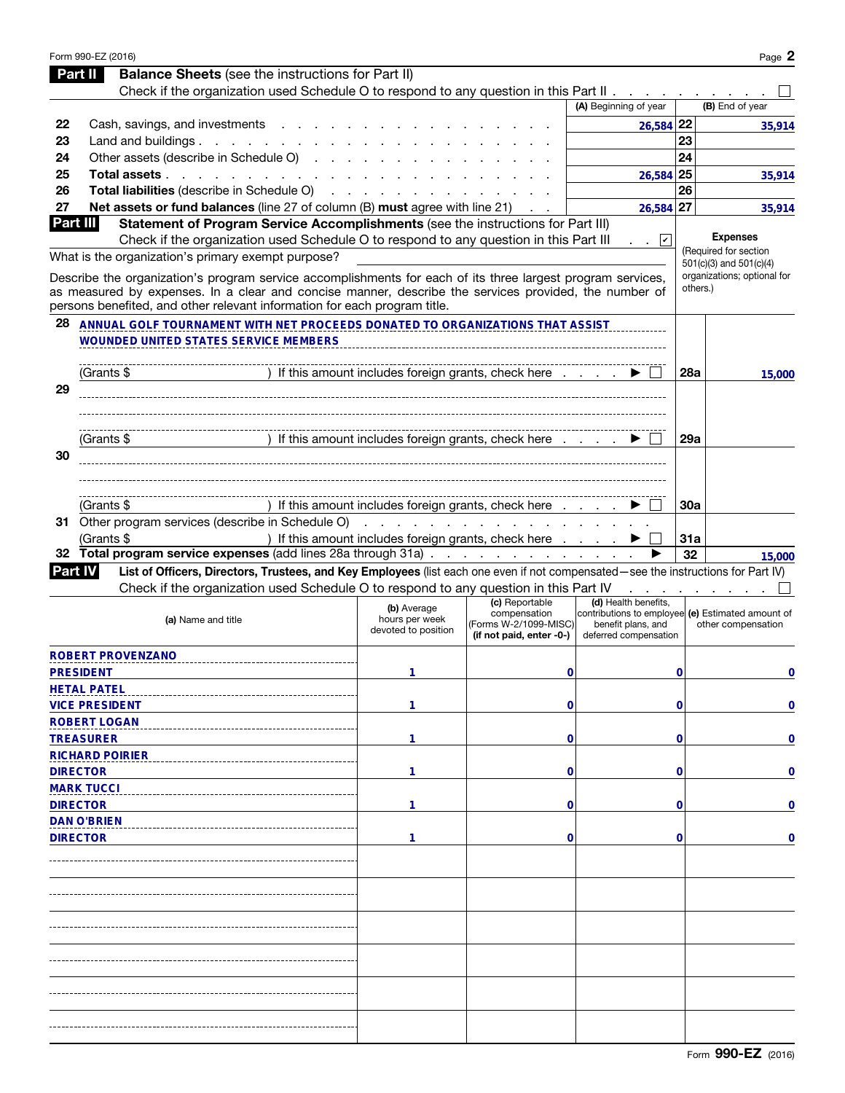|                | Form 990-EZ (2016)                                                                                                                                                                                                                                                                                |                                                      |                                                                   |                                                                                                  |            | Page 2                                  |
|----------------|---------------------------------------------------------------------------------------------------------------------------------------------------------------------------------------------------------------------------------------------------------------------------------------------------|------------------------------------------------------|-------------------------------------------------------------------|--------------------------------------------------------------------------------------------------|------------|-----------------------------------------|
|                | <b>Balance Sheets</b> (see the instructions for Part II)<br>Part II                                                                                                                                                                                                                               |                                                      |                                                                   |                                                                                                  |            |                                         |
|                | Check if the organization used Schedule O to respond to any question in this Part II                                                                                                                                                                                                              |                                                      |                                                                   |                                                                                                  |            |                                         |
|                |                                                                                                                                                                                                                                                                                                   |                                                      |                                                                   | (A) Beginning of year                                                                            |            | (B) End of year                         |
| 22             | Cash, savings, and investments                                                                                                                                                                                                                                                                    |                                                      |                                                                   | $26,584$ 22                                                                                      |            | 35,914                                  |
| 23             | Land and buildings $\ldots$ $\ldots$ $\ldots$ $\ldots$                                                                                                                                                                                                                                            |                                                      |                                                                   |                                                                                                  | 23         |                                         |
| 24             | Other assets (describe in Schedule O)                                                                                                                                                                                                                                                             |                                                      |                                                                   |                                                                                                  | 24         |                                         |
| 25             | Total assets                                                                                                                                                                                                                                                                                      |                                                      |                                                                   | $26,584$ 25                                                                                      |            | 35,914                                  |
| 26             | Total liabilities (describe in Schedule O)                                                                                                                                                                                                                                                        |                                                      |                                                                   |                                                                                                  | 26         |                                         |
| 27<br>Part III | Net assets or fund balances (line 27 of column (B) must agree with line 21)                                                                                                                                                                                                                       |                                                      |                                                                   | $26,584$ 27                                                                                      |            | 35,914                                  |
|                | Statement of Program Service Accomplishments (see the instructions for Part III)<br>Check if the organization used Schedule O to respond to any question in this Part III                                                                                                                         |                                                      |                                                                   | $\mathsf{L}$                                                                                     |            | <b>Expenses</b>                         |
|                | What is the organization's primary exempt purpose?                                                                                                                                                                                                                                                |                                                      |                                                                   |                                                                                                  |            | (Required for section                   |
|                |                                                                                                                                                                                                                                                                                                   |                                                      |                                                                   |                                                                                                  |            | $501(c)(3)$ and $501(c)(4)$             |
|                | Describe the organization's program service accomplishments for each of its three largest program services,<br>as measured by expenses. In a clear and concise manner, describe the services provided, the number of<br>persons benefited, and other relevant information for each program title. |                                                      |                                                                   |                                                                                                  |            | organizations; optional for<br>others.) |
| 28             | ANNUAL GOLF TOURNAMENT WITH NET PROCEEDS DONATED TO ORGANIZATIONS THAT ASSIST                                                                                                                                                                                                                     |                                                      |                                                                   |                                                                                                  |            |                                         |
|                | <b>WOUNDED UNITED STATES SERVICE MEMBERS</b>                                                                                                                                                                                                                                                      |                                                      |                                                                   |                                                                                                  |            |                                         |
|                |                                                                                                                                                                                                                                                                                                   |                                                      |                                                                   |                                                                                                  |            |                                         |
|                | (Grants \$                                                                                                                                                                                                                                                                                        | If this amount includes foreign grants, check here   |                                                                   |                                                                                                  | 28a        | 15,000                                  |
| 29             |                                                                                                                                                                                                                                                                                                   |                                                      |                                                                   |                                                                                                  |            |                                         |
|                |                                                                                                                                                                                                                                                                                                   |                                                      |                                                                   |                                                                                                  |            |                                         |
|                |                                                                                                                                                                                                                                                                                                   |                                                      |                                                                   |                                                                                                  |            |                                         |
|                | (Grants \$                                                                                                                                                                                                                                                                                        | If this amount includes foreign grants, check here   |                                                                   |                                                                                                  | <b>29a</b> |                                         |
| 30             |                                                                                                                                                                                                                                                                                                   |                                                      |                                                                   |                                                                                                  |            |                                         |
|                |                                                                                                                                                                                                                                                                                                   |                                                      |                                                                   |                                                                                                  |            |                                         |
|                |                                                                                                                                                                                                                                                                                                   |                                                      |                                                                   |                                                                                                  |            |                                         |
|                | (Grants \$                                                                                                                                                                                                                                                                                        | If this amount includes foreign grants, check here   |                                                                   |                                                                                                  | 30a        |                                         |
|                | 31 Other program services (describe in Schedule O)                                                                                                                                                                                                                                                | and the company of the company of the company of     |                                                                   |                                                                                                  |            |                                         |
|                | (Grants \$                                                                                                                                                                                                                                                                                        | ) If this amount includes foreign grants, check here |                                                                   |                                                                                                  | 31a        |                                         |
| 32             | Total program service expenses (add lines 28a through 31a)                                                                                                                                                                                                                                        |                                                      |                                                                   |                                                                                                  | 32         | 15,000                                  |
| <b>Part IV</b> | List of Officers, Directors, Trustees, and Key Employees (list each one even if not compensated—see the instructions for Part IV)<br>Check if the organization used Schedule O to respond to any question in this Part IV                                                                         |                                                      |                                                                   |                                                                                                  |            |                                         |
|                |                                                                                                                                                                                                                                                                                                   |                                                      | (c) Reportable                                                    | (d) Health benefits,                                                                             |            |                                         |
|                | (a) Name and title                                                                                                                                                                                                                                                                                | (b) Average<br>hours per week<br>devoted to position | compensation<br>(Forms W-2/1099-MISC)<br>(if not paid, enter -0-) | contributions to employee (e) Estimated amount of<br>benefit plans, and<br>deferred compensation |            | other compensation                      |
|                | ROBERT PROVENZANO                                                                                                                                                                                                                                                                                 |                                                      |                                                                   |                                                                                                  |            |                                         |
|                | <b>PRESIDENT</b>                                                                                                                                                                                                                                                                                  |                                                      |                                                                   |                                                                                                  |            |                                         |
|                |                                                                                                                                                                                                                                                                                                   | 1                                                    | 0                                                                 |                                                                                                  | 0          | 0                                       |
|                | <b>HETAL PATEL</b>                                                                                                                                                                                                                                                                                |                                                      |                                                                   |                                                                                                  |            |                                         |
|                | <b>VICE PRESIDENT</b>                                                                                                                                                                                                                                                                             | 1                                                    | 0                                                                 |                                                                                                  | 0          | 0                                       |
|                | <b>ROBERT LOGAN</b>                                                                                                                                                                                                                                                                               |                                                      |                                                                   |                                                                                                  |            |                                         |
|                | <b>TREASURER</b>                                                                                                                                                                                                                                                                                  | 1                                                    | 0                                                                 |                                                                                                  | 0          | 0                                       |
|                | <b>RICHARD POIRIER</b>                                                                                                                                                                                                                                                                            |                                                      |                                                                   |                                                                                                  |            |                                         |
|                | <b>DIRECTOR</b>                                                                                                                                                                                                                                                                                   | 1                                                    | 0                                                                 |                                                                                                  | 0          | 0                                       |
|                | <b>MARK TUCCI</b>                                                                                                                                                                                                                                                                                 |                                                      |                                                                   |                                                                                                  |            |                                         |
|                | <b>DIRECTOR</b>                                                                                                                                                                                                                                                                                   | 1                                                    | 0                                                                 |                                                                                                  | 0          | 0                                       |
|                | <b>DAN O'BRIEN</b>                                                                                                                                                                                                                                                                                |                                                      |                                                                   |                                                                                                  |            |                                         |
|                | <b>DIRECTOR</b>                                                                                                                                                                                                                                                                                   | 1                                                    | 0                                                                 |                                                                                                  | 0          | 0                                       |
|                |                                                                                                                                                                                                                                                                                                   |                                                      |                                                                   |                                                                                                  |            |                                         |
|                |                                                                                                                                                                                                                                                                                                   |                                                      |                                                                   |                                                                                                  |            |                                         |
|                |                                                                                                                                                                                                                                                                                                   |                                                      |                                                                   |                                                                                                  |            |                                         |
|                |                                                                                                                                                                                                                                                                                                   |                                                      |                                                                   |                                                                                                  |            |                                         |
|                |                                                                                                                                                                                                                                                                                                   |                                                      |                                                                   |                                                                                                  |            |                                         |
|                |                                                                                                                                                                                                                                                                                                   |                                                      |                                                                   |                                                                                                  |            |                                         |
|                |                                                                                                                                                                                                                                                                                                   |                                                      |                                                                   |                                                                                                  |            |                                         |
|                |                                                                                                                                                                                                                                                                                                   |                                                      |                                                                   |                                                                                                  |            |                                         |
|                |                                                                                                                                                                                                                                                                                                   |                                                      |                                                                   |                                                                                                  |            |                                         |
|                |                                                                                                                                                                                                                                                                                                   |                                                      |                                                                   |                                                                                                  |            |                                         |
|                |                                                                                                                                                                                                                                                                                                   |                                                      |                                                                   |                                                                                                  |            |                                         |
|                |                                                                                                                                                                                                                                                                                                   |                                                      |                                                                   |                                                                                                  |            |                                         |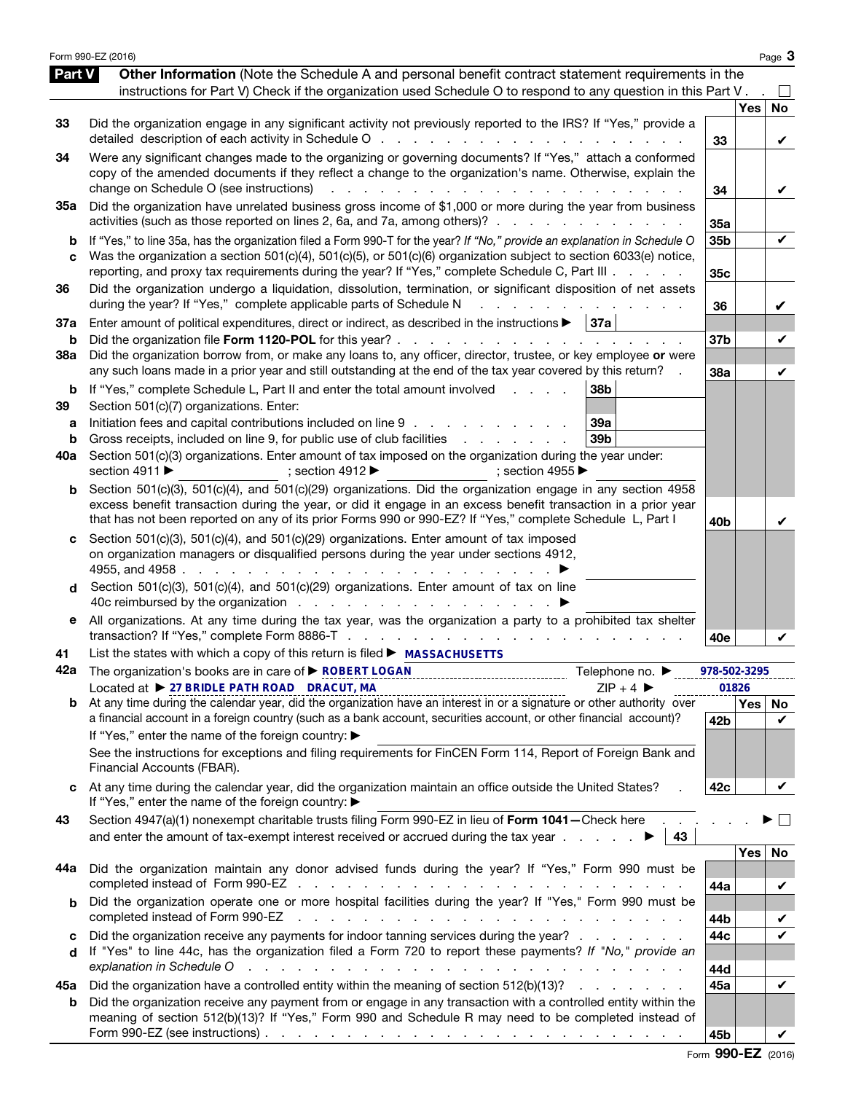|                          | Form 990-EZ (2016)                                                                                                                                                                                                                                                                                                                                                                                                                                                |                 |                  | Page 3         |
|--------------------------|-------------------------------------------------------------------------------------------------------------------------------------------------------------------------------------------------------------------------------------------------------------------------------------------------------------------------------------------------------------------------------------------------------------------------------------------------------------------|-----------------|------------------|----------------|
| Part V                   | Other Information (Note the Schedule A and personal benefit contract statement requirements in the<br>instructions for Part V) Check if the organization used Schedule O to respond to any question in this Part V.                                                                                                                                                                                                                                               |                 |                  |                |
| 33                       | Did the organization engage in any significant activity not previously reported to the IRS? If "Yes," provide a<br>detailed description of each activity in Schedule O                                                                                                                                                                                                                                                                                            | 33              | <b>Yes</b>       | No<br>V        |
| 34                       | Were any significant changes made to the organizing or governing documents? If "Yes," attach a conformed<br>copy of the amended documents if they reflect a change to the organization's name. Otherwise, explain the<br>change on Schedule O (see instructions)<br><u>.</u>                                                                                                                                                                                      | 34              |                  | V              |
| 35a                      | Did the organization have unrelated business gross income of \$1,000 or more during the year from business<br>activities (such as those reported on lines 2, 6a, and 7a, among others)?                                                                                                                                                                                                                                                                           | 35a             |                  |                |
| b<br>C                   | If "Yes," to line 35a, has the organization filed a Form 990-T for the year? If "No," provide an explanation in Schedule O<br>Was the organization a section 501(c)(4), 501(c)(5), or 501(c)(6) organization subject to section 6033(e) notice,<br>reporting, and proxy tax requirements during the year? If "Yes," complete Schedule C, Part III                                                                                                                 | 35b<br>35c      |                  | V              |
| 36                       | Did the organization undergo a liquidation, dissolution, termination, or significant disposition of net assets<br>during the year? If "Yes," complete applicable parts of Schedule N<br>and a state of the state of the state of the                                                                                                                                                                                                                              | 36              |                  | V              |
| 37a<br>b                 | Enter amount of political expenditures, direct or indirect, as described in the instructions $\blacktriangleright$   37a<br>Did the organization file Form 1120-POL for this year?                                                                                                                                                                                                                                                                                | 37 <sub>b</sub> |                  | V              |
| <b>38a</b>               | Did the organization borrow from, or make any loans to, any officer, director, trustee, or key employee or were<br>any such loans made in a prior year and still outstanding at the end of the tax year covered by this return?                                                                                                                                                                                                                                   | 38a             |                  | V              |
| b<br>39<br>а<br>b<br>40a | If "Yes," complete Schedule L, Part II and enter the total amount involved<br>38b<br><b>Service Control</b><br>Section 501(c)(7) organizations. Enter:<br>Initiation fees and capital contributions included on line 9<br>39a<br>Gross receipts, included on line 9, for public use of club facilities<br>39 <sub>b</sub><br>Section 501(c)(3) organizations. Enter amount of tax imposed on the organization during the year under:                              |                 |                  |                |
|                          | section 4911 ▶<br>; section 4912 $\blacktriangleright$<br>; section 4955<br>Section 501(c)(3), 501(c)(4), and 501(c)(29) organizations. Did the organization engage in any section 4958                                                                                                                                                                                                                                                                           |                 |                  |                |
| b                        | excess benefit transaction during the year, or did it engage in an excess benefit transaction in a prior year<br>that has not been reported on any of its prior Forms 990 or 990-EZ? If "Yes," complete Schedule L, Part I                                                                                                                                                                                                                                        | 40 <sub>b</sub> |                  |                |
| d                        | Section 501(c)(3), 501(c)(4), and 501(c)(29) organizations. Enter amount of tax imposed<br>on organization managers or disqualified persons during the year under sections 4912,<br>4955, and 4958.<br>and the state of the<br>Section 501(c)(3), 501(c)(4), and 501(c)(29) organizations. Enter amount of tax on line                                                                                                                                            |                 |                  |                |
| е                        | All organizations. At any time during the tax year, was the organization a party to a prohibited tax shelter                                                                                                                                                                                                                                                                                                                                                      | 40e             |                  |                |
| 41                       | List the states with which a copy of this return is filed ▶ MASSACHUSETTS                                                                                                                                                                                                                                                                                                                                                                                         |                 |                  |                |
| 42a                      | The organization's books are in care of $\triangleright$ ROBERT LOGAN<br>Telephone no. ▶<br>Located at ▶ 27 BRIDLE PATH ROAD DRACUT, MA<br>$7IP + 4$                                                                                                                                                                                                                                                                                                              | 978-502-3295    | 01826            |                |
|                          | $\frac{20}{10}$ at $\frac{21}{10}$ and $\frac{21}{10}$ and $\frac{21}{10}$ and $\frac{21}{10}$ and $\frac{21}{10}$ and $\frac{21}{10}$ and $\frac{21}{10}$ and $\frac{21}{10}$ and $\frac{21}{10}$ and $\frac{21}{10}$ and $\frac{21}{10}$ and $\frac{21}{10}$ and $\frac{21}{10}$ an<br>a financial account in a foreign country (such as a bank account, securities account, or other financial account)?<br>If "Yes," enter the name of the foreign country: ▶ | 42b             | Yes <sub>1</sub> | No<br>V        |
|                          | See the instructions for exceptions and filing requirements for FinCEN Form 114, Report of Foreign Bank and<br>Financial Accounts (FBAR).                                                                                                                                                                                                                                                                                                                         |                 |                  |                |
|                          | At any time during the calendar year, did the organization maintain an office outside the United States?<br>If "Yes," enter the name of the foreign country: ▶                                                                                                                                                                                                                                                                                                    | 42c             |                  | V              |
| 43                       | Section 4947(a)(1) nonexempt charitable trusts filing Form 990-EZ in lieu of Form 1041-Check here<br>and enter the amount of tax-exempt interest received or accrued during the tax year $\ldots$<br>43                                                                                                                                                                                                                                                           |                 |                  | $\mathbb{R}^2$ |
| 44a                      | Did the organization maintain any donor advised funds during the year? If "Yes," Form 990 must be                                                                                                                                                                                                                                                                                                                                                                 | 44a             | Yes              | No<br>V        |
| b                        | Did the organization operate one or more hospital facilities during the year? If "Yes," Form 990 must be<br>completed instead of Form 990-EZ<br>and the contract of the contract of the contract of the contract of the contract of                                                                                                                                                                                                                               | 44b             |                  | V              |
| c<br>d                   | Did the organization receive any payments for indoor tanning services during the year?<br>If "Yes" to line 44c, has the organization filed a Form 720 to report these payments? If "No," provide an<br>explanation in Schedule O<br>the second contract of the second contract of the second contract of the second                                                                                                                                               | 44c<br>44d      |                  | $\checkmark$   |
| 45а                      | Did the organization have a controlled entity within the meaning of section 512(b)(13)?                                                                                                                                                                                                                                                                                                                                                                           | 45a             |                  | V              |
| b                        | Did the organization receive any payment from or engage in any transaction with a controlled entity within the<br>meaning of section 512(b)(13)? If "Yes," Form 990 and Schedule R may need to be completed instead of<br>Form 990-EZ (see instructions) $\ldots$ $\ldots$ $\ldots$ $\ldots$ $\ldots$ $\ldots$ $\ldots$ $\ldots$ $\ldots$ $\ldots$ $\ldots$                                                                                                       | 45b             |                  |                |

|  | Form 990-EZ (2016) |  |
|--|--------------------|--|
|--|--------------------|--|